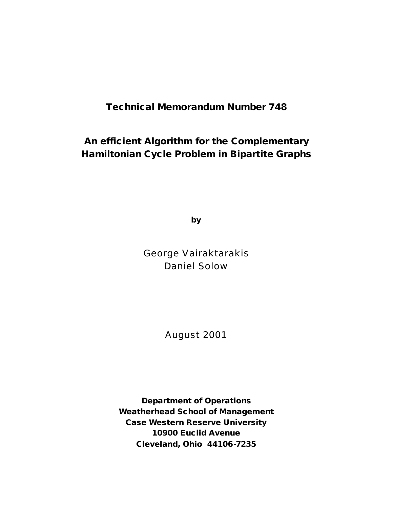# **Technical Memorandum Number 748**

# **An efficient Algorithm for the Complementary Hamiltonian Cycle Problem in Bipartite Graphs**

**by**

George Vairaktarakis Daniel Solow

August 2001

**Department of Operations Weatherhead School of Management Case Western Reserve University 10900 Euclid Avenue Cleveland, Ohio 44106-7235**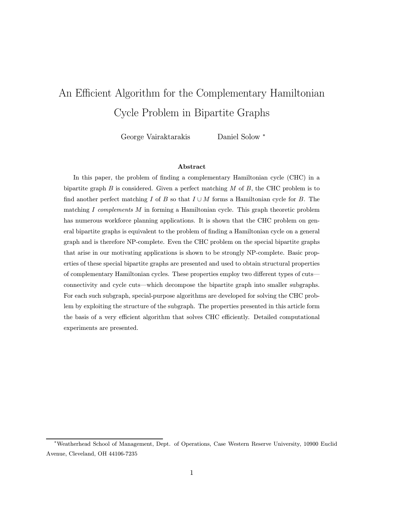# An Efficient Algorithm for the Complementary Hamiltonian Cycle Problem in Bipartite Graphs

George Vairaktarakis Daniel Solow <sup>∗</sup>

# Abstract

In this paper, the problem of finding a complementary Hamiltonian cycle (CHC) in a bipartite graph  $B$  is considered. Given a perfect matching  $M$  of  $B$ , the CHC problem is to find another perfect matching I of B so that  $I \cup M$  forms a Hamiltonian cycle for B. The matching I complements M in forming a Hamiltonian cycle. This graph theoretic problem has numerous workforce planning applications. It is shown that the CHC problem on general bipartite graphs is equivalent to the problem of finding a Hamiltonian cycle on a general graph and is therefore NP-complete. Even the CHC problem on the special bipartite graphs that arise in our motivating applications is shown to be strongly NP-complete. Basic properties of these special bipartite graphs are presented and used to obtain structural properties of complementary Hamiltonian cycles. These properties employ two different types of cuts connectivity and cycle cuts—which decompose the bipartite graph into smaller subgraphs. For each such subgraph, special-purpose algorithms are developed for solving the CHC problem by exploiting the structure of the subgraph. The properties presented in this article form the basis of a very efficient algorithm that solves CHC efficiently. Detailed computational experiments are presented.

<sup>∗</sup>Weatherhead School of Management, Dept. of Operations, Case Western Reserve University, 10900 Euclid Avenue, Cleveland, OH 44106-7235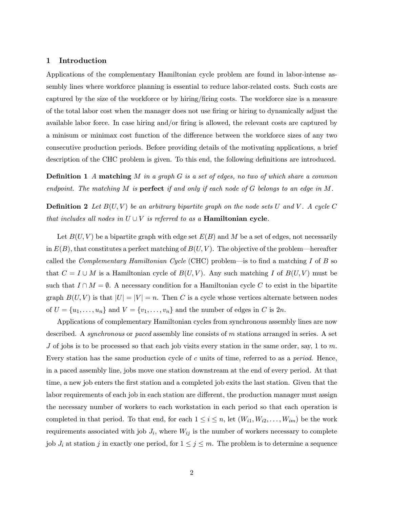# 1 Introduction

Applications of the complementary Hamiltonian cycle problem are found in labor-intense assembly lines where workforce planning is essential to reduce labor-related costs. Such costs are captured by the size of the workforce or by hiring/firing costs. The workforce size is a measure of the total labor cost when the manager does not use firing or hiring to dynamically adjust the available labor force. In case hiring and/or firing is allowed, the relevant costs are captured by a minisum or minimax cost function of the difference between the workforce sizes of any two consecutive production periods. Before providing details of the motivating applications, a brief description of the CHC problem is given. To this end, the following definitions are introduced.

**Definition 1** A matching M in a graph G is a set of edges, no two of which share a common endpoint. The matching M is **perfect** if and only if each node of G belongs to an edge in M.

**Definition 2** Let  $B(U, V)$  be an arbitrary bipartite graph on the node sets U and V. A cycle C that includes all nodes in  $U \cup V$  is referred to as a **Hamiltonian cycle**.

Let  $B(U, V)$  be a bipartite graph with edge set  $E(B)$  and M be a set of edges, not necessarily in  $E(B)$ , that constitutes a perfect matching of  $B(U, V)$ . The objective of the problem—hereafter called the *Complementary Hamiltonian Cycle* (CHC) problem—is to find a matching I of B so that  $C = I \cup M$  is a Hamiltonian cycle of  $B(U, V)$ . Any such matching I of  $B(U, V)$  must be such that  $I \cap M = \emptyset$ . A necessary condition for a Hamiltonian cycle C to exist in the bipartite graph  $B(U, V)$  is that  $|U| = |V| = n$ . Then C is a cycle whose vertices alternate between nodes of  $U = \{u_1, \ldots, u_n\}$  and  $V = \{v_1, \ldots, v_n\}$  and the number of edges in C is  $2n$ .

Applications of complementary Hamiltonian cycles from synchronous assembly lines are now described. A *synchronous* or *paced* assembly line consists of m stations arranged in series. A set J of jobs is to be processed so that each job visits every station in the same order, say, 1 to  $m$ . Every station has the same production cycle of c units of time, referred to as a *period*. Hence, in a paced assembly line, jobs move one station downstream at the end of every period. At that time, a new job enters the first station and a completed job exits the last station. Given that the labor requirements of each job in each station are different, the production manager must assign the necessary number of workers to each workstation in each period so that each operation is completed in that period. To that end, for each  $1 \leq i \leq n$ , let  $(W_{i1}, W_{i2}, \ldots, W_{im})$  be the work requirements associated with job  $J_i$ , where  $W_{ij}$  is the number of workers necessary to complete job  $J_i$  at station j in exactly one period, for  $1 \leq j \leq m$ . The problem is to determine a sequence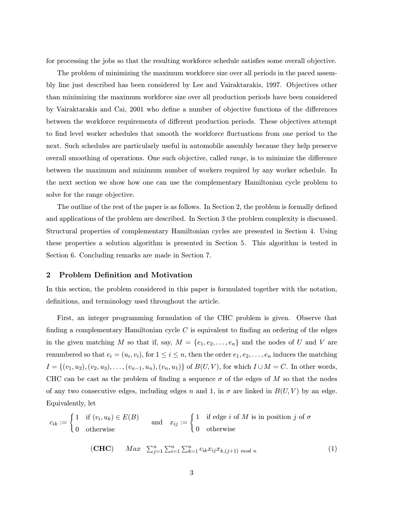for processing the jobs so that the resulting workforce schedule satisfies some overall objective.

The problem of minimizing the maximum workforce size over all periods in the paced assembly line just described has been considered by Lee and Vairaktarakis, 1997. Objectives other than minimizing the maximum workforce size over all production periods have been considered by Vairaktarakis and Cai, 2001 who define a number of objective functions of the differences between the workforce requirements of different production periods. These objectives attempt to find level worker schedules that smooth the workforce fluctuations from one period to the next. Such schedules are particularly useful in automobile assembly because they help preserve overall smoothing of operations. One such objective, called range, is to minimize the difference between the maximum and minimum number of workers required by any worker schedule. In the next section we show how one can use the complementary Hamiltonian cycle problem to solve for the range objective.

The outline of the rest of the paper is as follows. In Section 2, the problem is formally defined and applications of the problem are described. In Section 3 the problem complexity is discussed. Structural properties of complementary Hamiltonian cycles are presented in Section 4. Using these properties a solution algorithm is presented in Section 5. This algorithm is tested in Section 6. Concluding remarks are made in Section 7.

# 2 Problem Definition and Motivation

In this section, the problem considered in this paper is formulated together with the notation, definitions, and terminology used throughout the article.

First, an integer programming formulation of the CHC problem is given. Observe that finding a complementary Hamiltonian cycle  $C$  is equivalent to finding an ordering of the edges in the given matching M so that if, say,  $M = \{e_1, e_2, \ldots, e_n\}$  and the nodes of U and V are renumbered so that  $e_i = (u_i, v_i)$ , for  $1 \le i \le n$ , then the order  $e_1, e_2, \ldots, e_n$  induces the matching  $I = \{(v_1, u_2), (v_2, u_3), \ldots, (v_{n-1}, u_n), (v_n, u_1)\}\$  of  $B(U, V)$ , for which  $I \cup M = C$ . In other words, CHC can be cast as the problem of finding a sequence  $\sigma$  of the edges of M so that the nodes of any two consecutive edges, including edges n and 1, in  $\sigma$  are linked in  $B(U, V)$  by an edge. Equivalently, let

$$
c_{ik} := \begin{cases} 1 & \text{if } (v_i, u_k) \in E(B) \\ 0 & \text{otherwise} \end{cases} \quad \text{and} \quad x_{ij} := \begin{cases} 1 & \text{if edge } i \text{ of } M \text{ is in position } j \text{ of } \sigma \\ 0 & \text{otherwise} \end{cases}
$$

$$
(\mathbf{CHC}) \qquad Max \quad \sum_{j=1}^{n} \sum_{i=1}^{n} \sum_{k=1}^{n} c_{ik} x_{ij} x_{k,(j+1) \mod n} \tag{1}
$$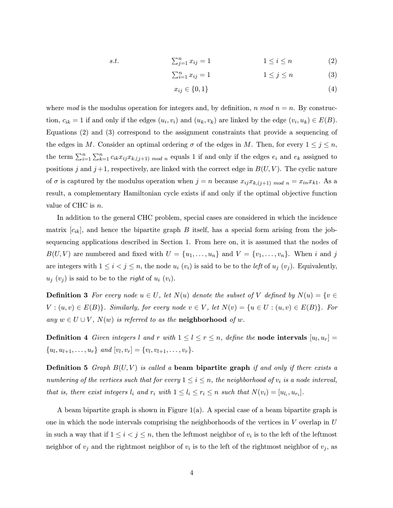$$
s.t. \qquad \sum_{j=1}^{n} x_{ij} = 1 \qquad \qquad 1 \le i \le n \qquad (2)
$$

$$
\sum_{i=1}^{n} x_{ij} = 1 \qquad \qquad 1 \le j \le n \qquad \qquad (3)
$$

$$
x_{ij} \in \{0, 1\} \tag{4}
$$

where mod is the modulus operation for integers and, by definition, n mod  $n = n$ . By construction,  $c_{ik} = 1$  if and only if the edges  $(u_i, v_i)$  and  $(u_k, v_k)$  are linked by the edge  $(v_i, u_k) \in E(B)$ . Equations (2) and (3) correspond to the assignment constraints that provide a sequencing of the edges in M. Consider an optimal ordering  $\sigma$  of the edges in M. Then, for every  $1 \leq j \leq n$ , the term  $\sum_{i=1}^n \sum_{k=1}^n c_{ik} x_{ij} x_{k,(j+1) \mod n}$  equals 1 if and only if the edges  $e_i$  and  $e_k$  assigned to positions j and  $j+1$ , respectively, are linked with the correct edge in  $B(U, V)$ . The cyclic nature of  $\sigma$  is captured by the modulus operation when  $j = n$  because  $x_{ij}x_{k,(j+1) \mod n} = x_{in}x_{k1}$ . As a result, a complementary Hamiltonian cycle exists if and only if the optimal objective function value of CHC is n.

In addition to the general CHC problem, special cases are considered in which the incidence matrix  $[c_{ik}]$ , and hence the bipartite graph B itself, has a special form arising from the jobsequencing applications described in Section 1. From here on, it is assumed that the nodes of  $B(U, V)$  are numbered and fixed with  $U = \{u_1, \ldots, u_n\}$  and  $V = \{v_1, \ldots, v_n\}$ . When i and j are integers with  $1 \leq i < j \leq n$ , the node  $u_i (v_i)$  is said to be to the *left* of  $u_j (v_j)$ . Equivalently,  $u_j(v_j)$  is said to be to the *right* of  $u_i(v_i)$ .

**Definition 3** For every node  $u \in U$ , let  $N(u)$  denote the subset of V defined by  $N(u) = \{v \in$  $V: (u, v) \in E(B)$ . Similarly, for every node  $v \in V$ , let  $N(v) = \{u \in U: (u, v) \in E(B)\}$ . For any  $w \in U \cup V$ ,  $N(w)$  is referred to as the **neighborhood** of w.

**Definition 4** Given integers l and r with  $1 \leq l \leq r \leq n$ , define the **node intervals**  $[u_l, u_r] =$  $\{u_l, u_{l+1}, \ldots, u_r\}$  and  $[v_l, v_r] = \{v_l, v_{l+1}, \ldots, v_r\}.$ 

**Definition 5** Graph  $B(U, V)$  is called a beam bipartite graph if and only if there exists a numbering of the vertices such that for every  $1 \leq i \leq n$ , the neighborhood of  $v_i$  is a node interval, that is, there exist integers  $l_i$  and  $r_i$  with  $1 \leq l_i \leq r_i \leq n$  such that  $N(v_i)=[u_{l_i}, u_{r_i}].$ 

A beam bipartite graph is shown in Figure  $1(a)$ . A special case of a beam bipartite graph is one in which the node intervals comprising the neighborhoods of the vertices in  $V$  overlap in  $U$ in such a way that if  $1 \leq i < j \leq n$ , then the leftmost neighbor of  $v_i$  is to the left of the leftmost neighbor of  $v_j$  and the rightmost neighbor of  $v_i$  is to the left of the rightmost neighbor of  $v_j$ , as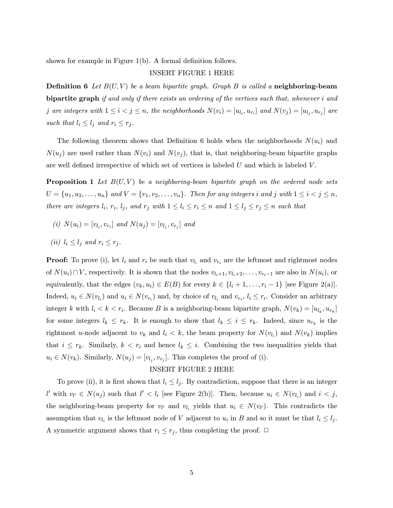shown for example in Figure 1(b). A formal definition follows.

# INSERT FIGURE 1 HERE

**Definition 6** Let  $B(U, V)$  be a beam bipartite graph. Graph B is called a neighboring-beam bipartite graph if and only if there exists an ordering of the vertices such that, whenever i and j are integers with  $1 \leq i < j \leq n$ , the neighborhoods  $N(v_i)=[u_{l_i}, u_{r_i}]$  and  $N(v_j)=[u_{l_i}, u_{r_j}]$  are such that  $l_i \leq l_j$  and  $r_i \leq r_j$ .

The following theorem shows that Definition 6 holds when the neighborhoods  $N(u_i)$  and  $N(u_i)$  are used rather than  $N(v_i)$  and  $N(v_j)$ , that is, that neighboring-beam bipartite graphs are well defined irrespective of which set of vertices is labeled  $U$  and which is labeled  $V$ .

**Proposition 1** Let  $B(U, V)$  be a neighboring-beam bipartite graph on the ordered node sets  $U = \{u_1, u_2, \ldots, u_n\}$  and  $V = \{v_1, v_2, \ldots, v_n\}$ . Then for any integers i and j with  $1 \leq i < j \leq n$ , there are integers  $l_i$ ,  $r_i$ ,  $l_j$ , and  $r_j$  with  $1 \leq l_i \leq r_i \leq n$  and  $1 \leq l_j \leq r_j \leq n$  such that

- (i)  $N(u_i)=[v_{l_i}, v_{r_i}]$  and  $N(u_i)=[v_{l_i}, v_{r_i}]$  and
- (ii)  $l_i \leq l_j$  and  $r_i \leq r_j$ .

**Proof:** To prove (i), let  $l_i$  and  $r_i$  be such that  $v_{l_i}$  and  $v_{r_i}$  are the leftmost and rightmost nodes of  $N(u_i) \cap V$ , respectively. It is shown that the nodes  $v_{l_i+1}, v_{l_i+2}, \ldots, v_{r_i-1}$  are also in  $N(u_i)$ , or equivalently, that the edges  $(v_k, u_i) \in E(B)$  for every  $k \in \{l_i + 1, \ldots, r_i - 1\}$  [see Figure 2(a)]. Indeed,  $u_i \in N(v_{l_i})$  and  $u_i \in N(v_{r_i})$  and, by choice of  $v_{l_i}$  and  $v_{r_i}$ ,  $l_i \leq r_i$ . Consider an arbitrary integer k with  $l_i < k < r_i$ . Because B is a neighboring-beam bipartite graph,  $N(v_k) = [u_{l_k}, u_{r_k}]$ for some integers  $l_k \leq r_k$ . It is enough to show that  $l_k \leq i \leq r_k$ . Indeed, since  $u_{r_k}$  is the rightmost u-node adjacent to  $v_k$  and  $l_i < k$ , the beam property for  $N(v_{l_i})$  and  $N(v_k)$  implies that  $i \leq r_k$ . Similarly,  $k \leq r_i$  and hence  $l_k \leq i$ . Combining the two inequalities yields that  $u_i \in N(v_k)$ . Similarly,  $N(u_j)=[v_{l_i}, v_{r_i}]$ . This completes the proof of (i).

#### INSERT FIGURE 2 HERE

To prove (ii), it is first shown that  $l_i \leq l_j$ . By contradiction, suppose that there is an integer l' with  $v_l \in N(u_j)$  such that  $l' < l_i$  [see Figure 2(b)]. Then, because  $u_i \in N(v_{l_i})$  and  $i < j$ , the neighboring-beam property for  $v_l$  and  $v_l$  yields that  $u_i \in N(v_l)$ . This contradicts the assumption that  $v_{l_i}$  is the leftmost node of V adjacent to  $u_i$  in B and so it must be that  $l_i \leq l_j$ . A symmetric argument shows that  $r_i \leq r_j$ , thus completing the proof.  $\Box$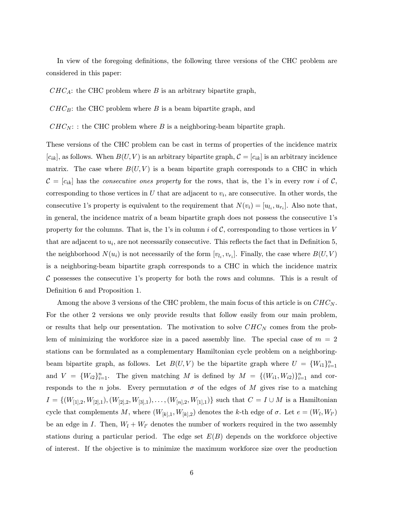In view of the foregoing definitions, the following three versions of the CHC problem are considered in this paper:

 $CHC_A$ : the CHC problem where B is an arbitrary bipartite graph,

 $CHC_B$ : the CHC problem where B is a beam bipartite graph, and

 $CHC_N$ : : the CHC problem where B is a neighboring-beam bipartite graph.

These versions of the CHC problem can be cast in terms of properties of the incidence matrix  $[c_{ik}]$ , as follows. When  $B(U, V)$  is an arbitrary bipartite graph,  $\mathcal{C} = [c_{ik}]$  is an arbitrary incidence matrix. The case where  $B(U, V)$  is a beam bipartite graph corresponds to a CHC in which  $\mathcal{C} = [c_{ik}]$  has the consecutive ones property for the rows, that is, the 1's in every row i of  $\mathcal{C}$ , corresponding to those vertices in  $U$  that are adjacent to  $v_i$ , are consecutive. In other words, the consecutive 1's property is equivalent to the requirement that  $N(v_i)=[u_i, u_{r_i}]$ . Also note that, in general, the incidence matrix of a beam bipartite graph does not possess the consecutive 1ís property for the columns. That is, the 1's in column i of  $\mathcal{C}$ , corresponding to those vertices in V that are adjacent to  $u_i$ , are not necessarily consecutive. This reflects the fact that in Definition 5, the neighborhood  $N(u_i)$  is not necessarily of the form  $[v_{l_i}, v_{r_i}]$ . Finally, the case where  $B(U, V)$ is a neighboring-beam bipartite graph corresponds to a CHC in which the incidence matrix  $\mathcal C$  possesses the consecutive 1's property for both the rows and columns. This is a result of Definition 6 and Proposition 1.

Among the above 3 versions of the CHC problem, the main focus of this article is on  $CHC<sub>N</sub>$ . For the other 2 versions we only provide results that follow easily from our main problem, or results that help our presentation. The motivation to solve  $CHC<sub>N</sub>$  comes from the problem of minimizing the workforce size in a paced assembly line. The special case of  $m = 2$ stations can be formulated as a complementary Hamiltonian cycle problem on a neighboringbeam bipartite graph, as follows. Let  $B(U, V)$  be the bipartite graph where  $U = \{W_{i1}\}_{i=1}^n$ and  $V = \{W_{i2}\}_{i=1}^n$ . The given matching M is defined by  $M = \{(W_{i1}, W_{i2})\}_{i=1}^n$  and corresponds to the n jobs. Every permutation  $\sigma$  of the edges of M gives rise to a matching  $I = \{(W_{[1],2}, W_{[2],1}), (W_{[2],2}, W_{[3],1}), \ldots, (W_{[n],2}, W_{[1],1})\}$  such that  $C = I \cup M$  is a Hamiltonian cycle that complements M, where  $(W_{[k],1}, W_{[k],2})$  denotes the k-th edge of  $\sigma$ . Let  $e = (W_l, W_{l'})$ be an edge in I. Then,  $W_l + W_{l'}$  denotes the number of workers required in the two assembly stations during a particular period. The edge set  $E(B)$  depends on the workforce objective of interest. If the objective is to minimize the maximum workforce size over the production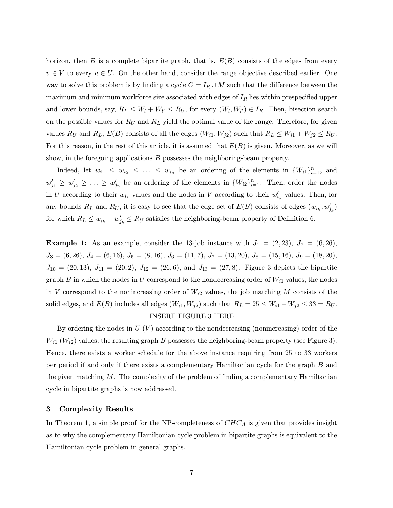horizon, then B is a complete bipartite graph, that is,  $E(B)$  consists of the edges from every  $v \in V$  to every  $u \in U$ . On the other hand, consider the range objective described earlier. One way to solve this problem is by finding a cycle  $C = I_R \cup M$  such that the difference between the maximum and minimum workforce size associated with edges of  $I_R$  lies within prespecified upper and lower bounds, say,  $R_L \leq W_l + W_{l'} \leq R_U$ , for every  $(W_l, W_{l'}) \in I_R$ . Then, bisection search on the possible values for  $R_U$  and  $R_L$  yield the optimal value of the range. Therefore, for given values  $R_U$  and  $R_L$ ,  $E(B)$  consists of all the edges  $(W_{i1}, W_{j2})$  such that  $R_L \leq W_{i1} + W_{j2} \leq R_U$ . For this reason, in the rest of this article, it is assumed that  $E(B)$  is given. Moreover, as we will show, in the foregoing applications  $B$  possesses the neighboring-beam property.

Indeed, let  $w_{i_1} \leq w_{i_2} \leq \ldots \leq w_{i_n}$  be an ordering of the elements in  $\{W_{i_1}\}_{i=1}^n$ , and  $w'_{j_1} \geq w'_{j_2} \geq \ldots \geq w'_{j_n}$  be an ordering of the elements in  $\{W_{i2}\}_{i=1}^n$ . Then, order the nodes in U according to their  $w_{i_k}$  values and the nodes in V according to their  $w'_{i_k}$  values. Then, for any bounds  $R_L$  and  $R_U$ , it is easy to see that the edge set of  $E(B)$  consists of edges  $(w_{i_k}, w'_{j_k})$ for which  $R_L \leq w_{i_k} + w'_{j_k} \leq R_U$  satisfies the neighboring-beam property of Definition 6.

**Example 1:** As an example, consider the 13-job instance with  $J_1 = (2, 23), J_2 = (6, 26),$  $J_3 = (6, 26), J_4 = (6, 16), J_5 = (8, 16), J_6 = (11, 7), J_7 = (13, 20), J_8 = (15, 16), J_9 = (18, 20),$  $J_{10} = (20, 13), J_{11} = (20, 2), J_{12} = (26, 6), \text{ and } J_{13} = (27, 8).$  Figure 3 depicts the bipartite graph B in which the nodes in U correspond to the nondecreasing order of  $W_{i1}$  values, the nodes in V correspond to the nonincreasing order of  $W_{i2}$  values, the job matching M consists of the solid edges, and  $E(B)$  includes all edges  $(W_{i1}, W_{j2})$  such that  $R_L = 25 \le W_{i1} + W_{j2} \le 33 = R_U$ .

# INSERT FIGURE 3 HERE

By ordering the nodes in  $U(V)$  according to the nondecreasing (nonincreasing) order of the  $W_{i1}$  ( $W_{i2}$ ) values, the resulting graph B possesses the neighboring-beam property (see Figure 3). Hence, there exists a worker schedule for the above instance requiring from 25 to 33 workers per period if and only if there exists a complementary Hamiltonian cycle for the graph B and the given matching  $M$ . The complexity of the problem of finding a complementary Hamiltonian cycle in bipartite graphs is now addressed.

# 3 Complexity Results

In Theorem 1, a simple proof for the NP-completeness of  $CHC_A$  is given that provides insight as to why the complementary Hamiltonian cycle problem in bipartite graphs is equivalent to the Hamiltonian cycle problem in general graphs.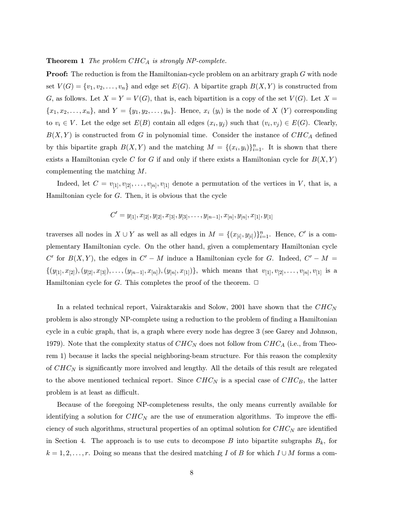#### **Theorem 1** The problem  $CHC_A$  is strongly NP-complete.

**Proof:** The reduction is from the Hamiltonian-cycle problem on an arbitrary graph  $G$  with node set  $V(G) = \{v_1, v_2, \ldots, v_n\}$  and edge set  $E(G)$ . A bipartite graph  $B(X, Y)$  is constructed from G, as follows. Let  $X = Y = V(G)$ , that is, each bipartition is a copy of the set  $V(G)$ . Let  $X =$  ${x_1, x_2,...,x_n}$ , and  $Y = {y_1, y_2,..., y_n}$ . Hence,  $x_i(y_i)$  is the node of X  $(Y)$  corresponding to  $v_i \in V$ . Let the edge set  $E(B)$  contain all edges  $(x_i, y_j)$  such that  $(v_i, v_j) \in E(G)$ . Clearly,  $B(X, Y)$  is constructed from G in polynomial time. Consider the instance of  $CHC_A$  defined by this bipartite graph  $B(X, Y)$  and the matching  $M = \{(x_i, y_i)\}_{i=1}^n$ . It is shown that there exists a Hamiltonian cycle C for G if and only if there exists a Hamiltonian cycle for  $B(X, Y)$ complementing the matching M.

Indeed, let  $C = v_{11}, v_{21}, \ldots, v_{n}$ ,  $v_{11}$  denote a permutation of the vertices in V, that is, a Hamiltonian cycle for G. Then, it is obvious that the cycle

$$
C'=y_{[1]}, x_{[2]}, y_{[2]}, x_{[3]}, y_{[3]}, \ldots, y_{[n-1]}, x_{[n]}, y_{[n]}, x_{[1]}, y_{[1]}
$$

traverses all nodes in  $X \cup Y$  as well as all edges in  $M = \{(x_{[i]}, y_{[i]})\}_{i=1}^n$ . Hence, C' is a complementary Hamiltonian cycle. On the other hand, given a complementary Hamiltonian cycle C' for  $B(X, Y)$ , the edges in  $C' - M$  induce a Hamiltonian cycle for G. Indeed,  $C' - M =$  $\{(y_{[1]}, x_{[2]}), (y_{[2]}, x_{[3]}), \ldots, (y_{[n-1]}, x_{[n]}), (y_{[n]}, x_{[1]})\}$ , which means that  $v_{[1]}, v_{[2]}, \ldots, v_{[n]}, v_{[1]}$  is a Hamiltonian cycle for G. This completes the proof of the theorem.  $\Box$ 

In a related technical report, Vairaktarakis and Solow, 2001 have shown that the  $CHC<sub>N</sub>$ problem is also strongly NP-complete using a reduction to the problem of finding a Hamiltonian cycle in a cubic graph, that is, a graph where every node has degree 3 (see Garey and Johnson, 1979). Note that the complexity status of  $CHC<sub>N</sub>$  does not follow from  $CHC<sub>A</sub>$  (i.e., from Theorem 1) because it lacks the special neighboring-beam structure. For this reason the complexity of  $CHC<sub>N</sub>$  is significantly more involved and lengthy. All the details of this result are relegated to the above mentioned technical report. Since  $CHC<sub>N</sub>$  is a special case of  $CHC<sub>B</sub>$ , the latter problem is at least as difficult.

Because of the foregoing NP-completeness results, the only means currently available for identifying a solution for  $CHC<sub>N</sub>$  are the use of enumeration algorithms. To improve the efficiency of such algorithms, structural properties of an optimal solution for  $CHC<sub>N</sub>$  are identified in Section 4. The approach is to use cuts to decompose B into bipartite subgraphs  $B_k$ , for  $k = 1, 2, \ldots, r$ . Doing so means that the desired matching I of B for which  $I \cup M$  forms a com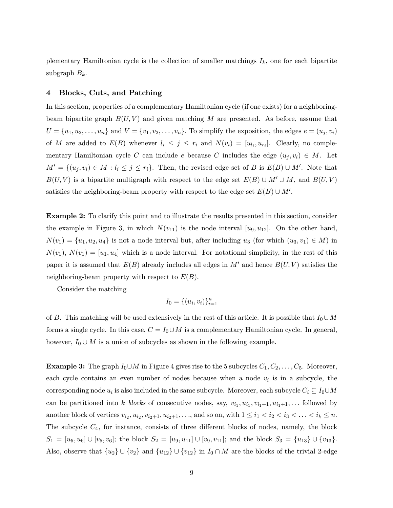plementary Hamiltonian cycle is the collection of smaller matchings  $I_k$ , one for each bipartite subgraph  $B_k$ .

# 4 Blocks, Cuts, and Patching

In this section, properties of a complementary Hamiltonian cycle (if one exists) for a neighboringbeam bipartite graph  $B(U, V)$  and given matching M are presented. As before, assume that  $U = \{u_1, u_2, \ldots, u_n\}$  and  $V = \{v_1, v_2, \ldots, v_n\}$ . To simplify the exposition, the edges  $e = (u_j, v_i)$ of M are added to  $E(B)$  whenever  $l_i \leq j \leq r_i$  and  $N(v_i)=[u_{l_i}, u_{r_i}].$  Clearly, no complementary Hamiltonian cycle C can include e because C includes the edge  $(u_j, v_i) \in M$ . Let  $M' = \{(u_j, v_i) \in M : l_i \leq j \leq r_i\}$ . Then, the revised edge set of B is  $E(B) \cup M'$ . Note that  $B(U, V)$  is a bipartite multigraph with respect to the edge set  $E(B) \cup M' \cup M$ , and  $B(U, V)$ satisfies the neighboring-beam property with respect to the edge set  $E(B) \cup M'.$ 

Example 2: To clarify this point and to illustrate the results presented in this section, consider the example in Figure 3, in which  $N(v_{11})$  is the node interval  $[u_9, u_{12}]$ . On the other hand,  $N(v_1) = \{u_1, u_2, u_4\}$  is not a node interval but, after including  $u_3$  (for which  $(u_3, v_1) \in M$ ) in  $N(v_1), N(v_1)=[u_1, u_4]$  which is a node interval. For notational simplicity, in the rest of this paper it is assumed that  $E(B)$  already includes all edges in M' and hence  $B(U, V)$  satisfies the neighboring-beam property with respect to  $E(B)$ .

Consider the matching

$$
I_0 = \{(u_i, v_i)\}_{i=1}^n
$$

of B. This matching will be used extensively in the rest of this article. It is possible that  $I_0 \cup M$ forms a single cycle. In this case,  $C = I_0 \cup M$  is a complementary Hamiltonian cycle. In general, however,  $I_0 \cup M$  is a union of subcycles as shown in the following example.

**Example 3:** The graph  $I_0 \cup M$  in Figure 4 gives rise to the 5 subcycles  $C_1, C_2, \ldots, C_5$ . Moreover, each cycle contains an even number of nodes because when a node  $v_i$  is in a subcycle, the corresponding node  $u_i$  is also included in the same subcycle. Moreover, each subcycle  $C_i \subseteq I_0 \cup M$ can be partitioned into k blocks of consecutive nodes, say,  $v_{i_1}, u_{i_1}, v_{i_1+1}, u_{i_1+1}, \ldots$  followed by another block of vertices  $v_{i_2}, u_{i_2}, v_{i_2+1}, u_{i_2+1}, \ldots$ , and so on, with  $1 \leq i_1 < i_2 < i_3 < \ldots < i_k \leq n$ . The subcycle  $C_4$ , for instance, consists of three different blocks of nodes, namely, the block  $S_1 = [u_5, u_6] \cup [v_5, v_6]$ ; the block  $S_2 = [u_9, u_{11}] \cup [v_9, v_{11}]$ ; and the block  $S_3 = \{u_{13}\} \cup \{v_{13}\}.$ Also, observe that  $\{u_2\} \cup \{v_2\}$  and  $\{u_{12}\} \cup \{v_{12}\}$  in  $I_0 \cap M$  are the blocks of the trivial 2-edge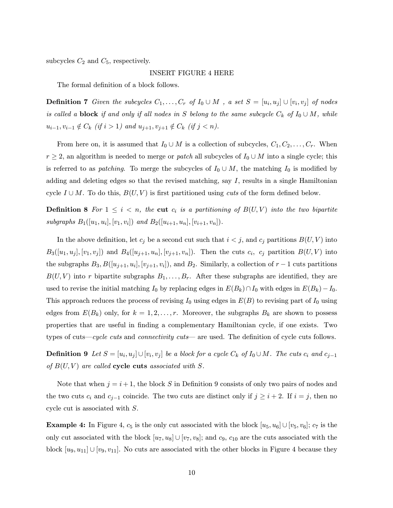subcycles  $C_2$  and  $C_5$ , respectively.

#### INSERT FIGURE 4 HERE

The formal definition of a block follows.

**Definition 7** Given the subcycles  $C_1, \ldots, C_r$  of  $I_0 \cup M$ , a set  $S = [u_i, u_j] \cup [v_i, v_j]$  of nodes is called a **block** if and only if all nodes in S belong to the same subcycle  $C_k$  of  $I_0 \cup M$ , while  $u_{i-1}, v_{i-1} \notin C_k$  (if  $i > 1$ ) and  $u_{j+1}, v_{j+1} \notin C_k$  (if  $j < n$ ).

From here on, it is assumed that  $I_0 \cup M$  is a collection of subcycles,  $C_1, C_2, \ldots, C_r$ . When  $r \geq 2$ , an algorithm is needed to merge or *patch* all subcycles of  $I_0 \cup M$  into a single cycle; this is referred to as *patching*. To merge the subcycles of  $I_0 \cup M$ , the matching  $I_0$  is modified by adding and deleting edges so that the revised matching, say  $I$ , results in a single Hamiltonian cycle  $I \cup M$ . To do this,  $B(U, V)$  is first partitioned using *cuts* of the form defined below.

**Definition 8** For  $1 \leq i \leq n$ , the cut  $c_i$  is a partitioning of  $B(U, V)$  into the two bipartite subgraphs  $B_1([u_1, u_i], [v_1, v_i])$  and  $B_2([u_{i+1}, u_n], [v_{i+1}, v_n])$ .

In the above definition, let  $c_j$  be a second cut such that  $i < j$ , and  $c_j$  partitions  $B(U, V)$  into  $B_3([u_1, u_j], [v_1, v_j])$  and  $B_4([u_{j+1}, u_n], [v_{j+1}, v_n])$ . Then the cuts  $c_i$ ,  $c_j$  partition  $B(U, V)$  into the subgraphs  $B_3, B([u_{j+1}, u_i], [v_{j+1}, v_i])$ , and  $B_2$ . Similarly, a collection of  $r-1$  cuts partitions  $B(U, V)$  into r bipartite subgraphs  $B_1, \ldots, B_r$ . After these subgraphs are identified, they are used to revise the initial matching  $I_0$  by replacing edges in  $E(B_k) \cap I_0$  with edges in  $E(B_k) - I_0$ . This approach reduces the process of revising  $I_0$  using edges in  $E(B)$  to revising part of  $I_0$  using edges from  $E(B_k)$  only, for  $k = 1, 2, ..., r$ . Moreover, the subgraphs  $B_k$  are shown to possess properties that are useful in finding a complementary Hamiltonian cycle, if one exists. Two types of cuts—cycle cuts and connectivity cuts—are used. The definition of cycle cuts follows.

**Definition 9** Let  $S = [u_i, u_j] \cup [v_i, v_j]$  be a block for a cycle  $C_k$  of  $I_0 \cup M$ . The cuts  $c_i$  and  $c_{j-1}$ of  $B(U, V)$  are called cycle cuts associated with S.

Note that when  $j = i + 1$ , the block S in Definition 9 consists of only two pairs of nodes and the two cuts  $c_i$  and  $c_{j-1}$  coincide. The two cuts are distinct only if  $j \geq i+2$ . If  $i = j$ , then no cycle cut is associated with S.

**Example 4:** In Figure 4,  $c_5$  is the only cut associated with the block  $[u_5, u_6] \cup [v_5, v_6]$ ;  $c_7$  is the only cut associated with the block  $[u_7, u_8] \cup [v_7, v_8]$ ; and  $c_9$ ,  $c_{10}$  are the cuts associated with the block  $[u_9, u_{11}] \cup [v_9, v_{11}]$ . No cuts are associated with the other blocks in Figure 4 because they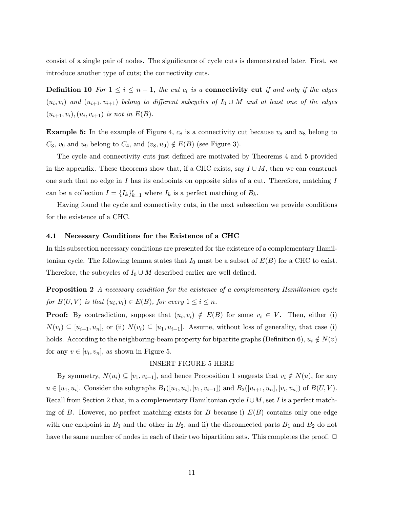consist of a single pair of nodes. The significance of cycle cuts is demonstrated later. First, we introduce another type of cuts; the connectivity cuts.

**Definition 10** For  $1 \leq i \leq n-1$ , the cut  $c_i$  is a **connectivity cut** if and only if the edges  $(u_i, v_i)$  and  $(u_{i+1}, v_{i+1})$  belong to different subcycles of  $I_0 \cup M$  and at least one of the edges  $(u_{i+1}, v_i), (u_i, v_{i+1})$  is not in  $E(B)$ .

**Example 5:** In the example of Figure 4,  $c_8$  is a connectivity cut because  $v_8$  and  $u_8$  belong to  $C_3$ ,  $v_9$  and  $u_9$  belong to  $C_4$ , and  $(v_8, u_9) \notin E(B)$  (see Figure 3).

The cycle and connectivity cuts just defined are motivated by Theorems 4 and 5 provided in the appendix. These theorems show that, if a CHC exists, say  $I \cup M$ , then we can construct one such that no edge in I has its endpoints on opposite sides of a cut. Therefore, matching I can be a collection  $I = \{I_k\}_{k=1}^r$  where  $I_k$  is a perfect matching of  $B_k$ .

Having found the cycle and connectivity cuts, in the next subsection we provide conditions for the existence of a CHC.

#### 4.1 Necessary Conditions for the Existence of a CHC

In this subsection necessary conditions are presented for the existence of a complementary Hamiltonian cycle. The following lemma states that  $I_0$  must be a subset of  $E(B)$  for a CHC to exist. Therefore, the subcycles of  $I_0 \cup M$  described earlier are well defined.

Proposition 2 A necessary condition for the existence of a complementary Hamiltonian cycle for  $B(U, V)$  is that  $(u_i, v_i) \in E(B)$ , for every  $1 \leq i \leq n$ .

**Proof:** By contradiction, suppose that  $(u_i, v_i) \notin E(B)$  for some  $v_i \in V$ . Then, either (i)  $N(v_i) \subseteq [u_{i+1}, u_n]$ , or (ii)  $N(v_i) \subseteq [u_1, u_{i-1}]$ . Assume, without loss of generality, that case (i) holds. According to the neighboring-beam property for bipartite graphs (Definition 6),  $u_i \notin N(v)$ for any  $v \in [v_i, v_n]$ , as shown in Figure 5.

# INSERT FIGURE 5 HERE

By symmetry,  $N(u_i) \subseteq [v_1, v_{i-1}]$ , and hence Proposition 1 suggests that  $v_i \notin N(u)$ , for any  $u \in [u_1, u_i]$ . Consider the subgraphs  $B_1([u_1, u_i], [v_1, v_{i-1}])$  and  $B_2([u_{i+1}, u_n], [v_i, v_n])$  of  $B(U, V)$ . Recall from Section 2 that, in a complementary Hamiltonian cycle  $I\cup M$ , set I is a perfect matching of B. However, no perfect matching exists for B because i)  $E(B)$  contains only one edge with one endpoint in  $B_1$  and the other in  $B_2$ , and ii) the disconnected parts  $B_1$  and  $B_2$  do not have the same number of nodes in each of their two bipartition sets. This completes the proof.  $\Box$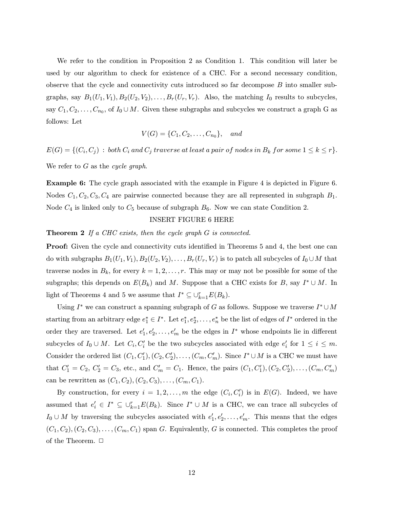We refer to the condition in Proposition 2 as Condition 1. This condition will later be used by our algorithm to check for existence of a CHC. For a second necessary condition, observe that the cycle and connectivity cuts introduced so far decompose B into smaller subgraphs, say  $B_1(U_1, V_1), B_2(U_2, V_2), \ldots, B_r(U_r, V_r)$ . Also, the matching  $I_0$  results to subcycles, say  $C_1, C_2, \ldots, C_{n_0}$ , of  $I_0 \cup M$ . Given these subgraphs and subcycles we construct a graph G as follows: Let

$$
V(G) = \{C_1, C_2, \dots, C_{n_0}\}, \quad and
$$

 $E(G) = \{ (C_i, C_j) : both C_i and C_j traverse at least a pair of nodes in B_k for some  $1 \leq k \leq r \}.$$ 

We refer to  $G$  as the cycle graph.

Example 6: The cycle graph associated with the example in Figure 4 is depicted in Figure 6. Nodes  $C_1, C_2, C_3, C_4$  are pairwise connected because they are all represented in subgraph  $B_1$ . Node  $C_4$  is linked only to  $C_5$  because of subgraph  $B_6$ . Now we can state Condition 2.

# INSERT FIGURE 6 HERE

# **Theorem 2** If a CHC exists, then the cycle graph G is connected.

**Proof:** Given the cycle and connectivity cuts identified in Theorems 5 and 4, the best one can do with subgraphs  $B_1(U_1, V_1), B_2(U_2, V_2), \ldots, B_r(U_r, V_r)$  is to patch all subcycles of  $I_0 \cup M$  that traverse nodes in  $B_k$ , for every  $k = 1, 2, \ldots, r$ . This may or may not be possible for some of the subgraphs; this depends on  $E(B_k)$  and M. Suppose that a CHC exists for B, say  $I^* \cup M$ . In light of Theorems 4 and 5 we assume that  $I^* \subseteq \bigcup_{k=1}^r E(B_k)$ .

Using I<sup>∗</sup> we can construct a spanning subgraph of G as follows. Suppose we traverse  $I^* \cup M$ starting from an arbitrary edge  $e_1^* \in I^*$ . Let  $e_1^*, e_2^*, \ldots, e_n^*$  be the list of edges of  $I^*$  ordered in the order they are traversed. Let  $e'_1, e'_2, \ldots, e'_m$  be the edges in  $I^*$  whose endpoints lie in different subcycles of  $I_0 \cup M$ . Let  $C_i, C'_i$  be the two subcycles associated with edge  $e'_i$  for  $1 \leq i \leq m$ . Consider the ordered list  $(C_1, C'_1), (C_2, C'_2), \ldots, (C_m, C'_m)$ . Since  $I^* \cup M$  is a CHC we must have that  $C_1' = C_2, C_2' = C_3$ , etc., and  $C_m' = C_1$ . Hence, the pairs  $(C_1, C_1'), (C_2, C_2'), \ldots, (C_m, C_m')$ can be rewritten as  $(C_1, C_2), (C_2, C_3), \ldots, (C_m, C_1)$ .

By construction, for every  $i = 1, 2, ..., m$  the edge  $(C_i, C'_i)$  is in  $E(G)$ . Indeed, we have assumed that  $e'_i \in I^* \subseteq \bigcup_{k=1}^r E(B_k)$ . Since  $I^* \cup M$  is a CHC, we can trace all subcycles of  $I_0 \cup M$  by traversing the subcycles associated with  $e'_1, e'_2, \ldots, e'_m$ . This means that the edges  $(C_1, C_2), (C_2, C_3), \ldots, (C_m, C_1)$  span G. Equivalently, G is connected. This completes the proof of the Theorem.  $\Box$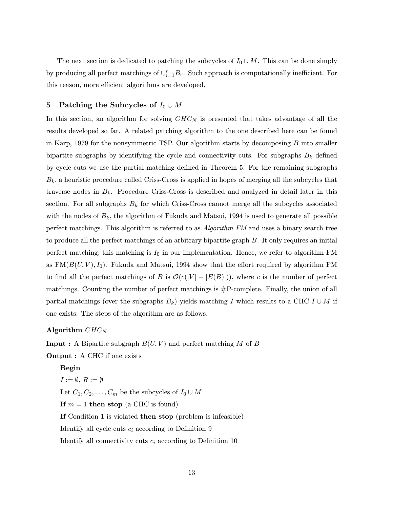The next section is dedicated to patching the subcycles of  $I_0 \cup M$ . This can be done simply by producing all perfect matchings of  $\cup_{i=1}^r B_r$ . Such approach is computationally inefficient. For this reason, more efficient algorithms are developed.

# 5 Patching the Subcycles of  $I_0 \cup M$

In this section, an algorithm for solving  $CHC<sub>N</sub>$  is presented that takes advantage of all the results developed so far. A related patching algorithm to the one described here can be found in Karp, 1979 for the nonsymmetric TSP. Our algorithm starts by decomposing  $B$  into smaller bipartite subgraphs by identifying the cycle and connectivity cuts. For subgraphs  $B_k$  defined by cycle cuts we use the partial matching defined in Theorem 5. For the remaining subgraphs  $B_k$ , a heuristic procedure called Criss-Cross is applied in hopes of merging all the subcycles that traverse nodes in  $B_k$ . Procedure Criss-Cross is described and analyzed in detail later in this section. For all subgraphs  $B_k$  for which Criss-Cross cannot merge all the subcycles associated with the nodes of  $B_k$ , the algorithm of Fukuda and Matsui, 1994 is used to generate all possible perfect matchings. This algorithm is referred to as Algorithm FM and uses a binary search tree to produce all the perfect matchings of an arbitrary bipartite graph B. It only requires an initial perfect matching; this matching is  $I_0$  in our implementation. Hence, we refer to algorithm FM as  $FM(B(U, V), I_0)$ . Fukuda and Matsui, 1994 show that the effort required by algorithm FM to find all the perfect matchings of B is  $\mathcal{O}(c(|V| + |E(B)|))$ , where c is the number of perfect matchings. Counting the number of perfect matchings is #P-complete. Finally, the union of all partial matchings (over the subgraphs  $B_k$ ) yields matching I which results to a CHC I ∪ M if one exists. The steps of the algorithm are as follows.

# Algorithm  $CHC<sub>N</sub>$

**Input :** A Bipartite subgraph  $B(U, V)$  and perfect matching M of B Output : A CHC if one exists

#### Begin

 $I := \emptyset, R := \emptyset$ Let  $C_1, C_2, \ldots, C_m$  be the subcycles of  $I_0 \cup M$ If  $m = 1$  then stop (a CHC is found) If Condition 1 is violated then stop (problem is infeasible) Identify all cycle cuts  $c_i$  according to Definition 9 Identify all connectivity cuts  $c_i$  according to Definition 10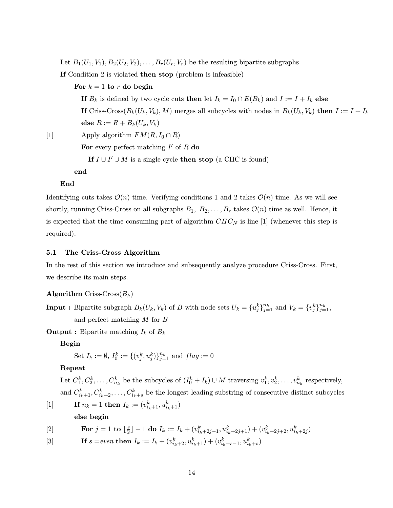Let  $B_1(U_1, V_1), B_2(U_2, V_2), \ldots, B_r(U_r, V_r)$  be the resulting bipartite subgraphs

If Condition 2 is violated then stop (problem is infeasible)

For  $k = 1$  to r do begin

else  $R := R + B_k(U_k, V_k)$ 

If  $B_k$  is defined by two cycle cuts then let  $I_k = I_0 \cap E(B_k)$  and  $I := I + I_k$  else

If Criss-Cross $(B_k(U_k, V_k), M)$  merges all subcycles with nodes in  $B_k(U_k, V_k)$  then  $I := I + I_k$ 

[1] Apply algorithm  $FM(R, I_0 \cap R)$ 

For every perfect matching  $I'$  of R do

If  $I \cup I' \cup M$  is a single cycle then stop (a CHC is found)

end

## End

Identifying cuts takes  $\mathcal{O}(n)$  time. Verifying conditions 1 and 2 takes  $\mathcal{O}(n)$  time. As we will see shortly, running Criss-Cross on all subgraphs  $B_1, B_2, \ldots, B_r$  takes  $\mathcal{O}(n)$  time as well. Hence, it is expected that the time consuming part of algorithm  $CHC<sub>N</sub>$  is line [1] (whenever this step is required).

#### 5.1 The Criss-Cross Algorithm

In the rest of this section we introduce and subsequently analyze procedure Criss-Cross. First, we describe its main steps.

# **Algorithm** Criss-Cross $(B_k)$

**Input :** Bipartite subgraph  $B_k(U_k, V_k)$  of B with node sets  $U_k = \{u_j^k\}_{j=1}^{n_k}$  and  $V_k = \{v_j^k\}_{j=1}^{n_k}$ , and perfect matching M for B

**Output :** Bipartite matching  $I_k$  of  $B_k$ 

Begin

Set 
$$
I_k := \emptyset
$$
,  $I_0^k := \{(v_j^k, u_j^k)\}_{j=1}^{n_k}$  and  $flag := 0$ 

# Repeat

Let  $C_1^k, C_2^k, \ldots, C_{n_k}^k$  be the subcycles of  $(I_0^k + I_k) \cup M$  traversing  $v_1^k, v_2^k, \ldots, v_{n_k}^k$  respectively, and  $C_{i_k+1}^k, C_{i_k+2}^k, \ldots, C_{i_k+s}^k$  be the longest leading substring of consecutive distinct subcycles

[1] **If**  $n_k = 1$  **then**  $I_k := (v_{i_k+1}^k, u_{i_k+1}^k)$ else begin

$$
[2] \qquad \qquad \textbf{For } j = 1 \textbf{ to } \lfloor \frac{s}{2} \rfloor - 1 \textbf{ do } I_k := I_k + (v_{i_k + 2j - 1}^k, u_{i_k + 2j + 1}^k) + (v_{i_k + 2j + 2}^k, u_{i_k + 2j}^k)
$$

[3] If 
$$
s = even
$$
 then  $I_k := I_k + (v_{i_k+2}^k, u_{i_k+1}^k) + (v_{i_k+s-1}^k, u_{i_k+s}^k)$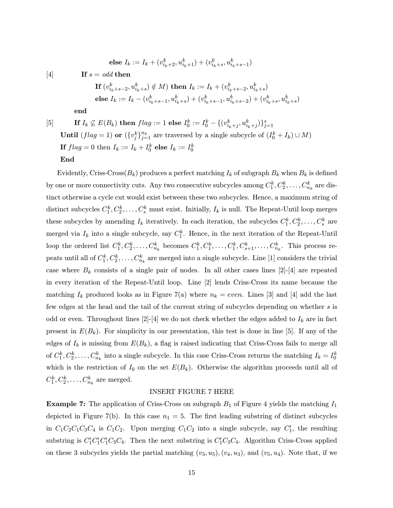else 
$$
I_k := I_k + (v_{i_k+2}^k, u_{i_k+1}^k) + (v_{i_k+s}^k, u_{i_k+s-1}^k)
$$

[4] If  $s = odd$  then

If 
$$
(v_{i_k+s-2}^k, u_{i_k+s}^k) \notin M
$$
) then  $I_k := I_k + (v_{i_k+s-2}^k, u_{i_k+s}^k)$   
else  $I_k := I_k - (v_{i_k+s-1}^k, u_{i_k+s}^k) + (v_{i_k+s-1}^k, u_{i_k+s-2}^k) + (v_{i_k+s}^k, u_{i_k+s}^k)$ 

end

[5] If  $I_k \not\subseteq E(B_k)$  then  $flag := 1$  else  $I_0^k := I_0^k - \{(v_{i_k+j}^k, u_{i_k+j}^k)\}_{j=1}^s$ **Until**  $(flag = 1)$  or  $({v_j^k})_{j=1}^{n_k}$  are traversed by a single subcycle of  $(I_0^k + I_k) \cup M$ ) If  $flag = 0$  then  $I_k := I_k + I_0^k$  else  $I_k := I_0^k$ End

Evidently, Criss-Cross( $B_k$ ) produces a perfect matching  $I_k$  of subgraph  $B_k$  when  $B_k$  is defined by one or more connectivity cuts. Any two consecutive subcycles among  $C_1^k, C_2^k, \ldots, C_{n_k}^k$  are distinct otherwise a cycle cut would exist between these two subcycles. Hence, a maximum string of distinct subcycles  $C_1^k, C_2^k, \ldots, C_s^k$  must exist. Initially,  $I_k$  is null. The Repeat-Until loop merges these subcycles by amending  $I_k$  iteratively. In each iteration, the subcycles  $C_1^k, C_2^k, \ldots, C_s^k$  are merged via  $I_k$  into a single subcycle, say  $C_1^k$ . Hence, in the next iteration of the Repeat-Until loop the ordered list  $C_1^k, C_2^k, \ldots, C_{n_k}^k$  becomes  $C_1^k, C_1^k, \ldots, C_1^k, C_{s+1}^k, \ldots, C_{n_k}^k$ . This process re- $\text{peak}$  until all of  $C_1^k, C_2^k, \ldots, C_{n_k}^k$  are merged into a single subcycle. Line  $[1]$  considers the trivial case where  $B_k$  consists of a single pair of nodes. In all other cases lines [2]-[4] are repeated in every iteration of the Repeat-Until loop. Line [2] lends Criss-Cross its name because the matching  $I_k$  produced looks as in Figure 7(a) where  $n_k = even$ . Lines [3] and [4] add the last few edges at the head and the tail of the current string of subcycles depending on whether s is odd or even. Throughout lines [2]-[4] we do not check whether the edges added to  $I_k$  are in fact present in  $E(B_k)$ . For simplicity in our presentation, this test is done in line [5]. If any of the edges of  $I_k$  is missing from  $E(B_k)$ , a flag is raised indicating that Criss-Cross fails to merge all of  $C_1^k, C_2^k, \ldots, C_{n_k}^k$  into a single subcycle. In this case Criss-Cross returns the matching  $I_k = I_0^k$ which is the restriction of  $I_0$  on the set  $E(B_k)$ . Otherwise the algorithm proceeds until all of  $C_1^k, C_2^k, \ldots, C_{n_k}^k$  are merged.

# INSERT FIGURE 7 HERE

**Example 7:** The application of Criss-Cross on subgraph  $B_1$  of Figure 4 yields the matching  $I_1$ depicted in Figure 7(b). In this case  $n_1 = 5$ . The first leading substring of distinct subcycles in  $C_1C_2C_1C_3C_4$  is  $C_1C_2$ . Upon merging  $C_1C_2$  into a single subcycle, say  $C'_1$ , the resulting substring is  $C_1'C_1'C_1'C_3'C_4$ . Then the next substring is  $C_1'C_3C_4$ . Algorithm Criss-Cross applied on these 3 subcycles yields the partial matching  $(v_3, u_5)$ ,  $(v_4, u_3)$ , and  $(v_5, u_4)$ . Note that, if we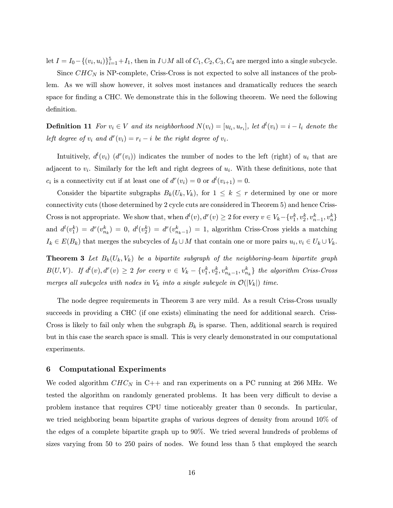let  $I = I_0 - \{(v_i, u_i)\}_{i=1}^5 + I_1$ , then in  $I \cup M$  all of  $C_1, C_2, C_3, C_4$  are merged into a single subcycle.

Since  $CHC<sub>N</sub>$  is NP-complete, Criss-Cross is not expected to solve all instances of the problem. As we will show however, it solves most instances and dramatically reduces the search space for finding a CHC. We demonstrate this in the following theorem. We need the following definition.

**Definition 11** For  $v_i \in V$  and its neighborhood  $N(v_i) = [u_{l_i}, u_{r_i}]$ , let  $d^l(v_i) = i - l_i$  denote the left degree of  $v_i$  and  $d^r(v_i) = r_i - i$  be the right degree of  $v_i$ .

Intuitively,  $d^l(v_i)$   $(d^r(v_i))$  indicates the number of nodes to the left (right) of  $u_i$  that are adjacent to  $v_i$ . Similarly for the left and right degrees of  $u_i$ . With these definitions, note that  $c_i$  is a connectivity cut if at least one of  $d^r(v_i) = 0$  or  $d^l(v_{i+1}) = 0$ .

Consider the bipartite subgraphs  $B_k(U_k, V_k)$ , for  $1 \leq k \leq r$  determined by one or more connectivity cuts (those determined by 2 cycle cuts are considered in Theorem 5) and hence Criss-Cross is not appropriate. We show that, when  $d^l(v)$ ,  $d^r(v) \geq 2$  for every  $v \in V_k - \{v_1^k, v_2^k, v_{n-1}^k, v_n^k\}$ and  $d^l(v_1^k) = d^r(v_{n_k}^k) = 0$ ,  $d^l(v_2^k) = d^r(v_{n_k-1}^k) = 1$ , algorithm Criss-Cross yields a matching  $I_k \in E(B_k)$  that merges the subcycles of  $I_0 \cup M$  that contain one or more pairs  $u_i, v_i \in U_k \cup V_k$ .

**Theorem 3** Let  $B_k(U_k, V_k)$  be a bipartite subgraph of the neighboring-beam bipartite graph  $B(U,V)$ . If  $d^l(v), d^r(v) \geq 2$  for every  $v \in V_k - \{v_1^k, v_2^k, v_{n_k-1}^k, v_{n_k}^k\}$  the algorithm Criss-Cross merges all subcycles with nodes in  $V_k$  into a single subcycle in  $\mathcal{O}(|V_k|)$  time.

The node degree requirements in Theorem 3 are very mild. As a result Criss-Cross usually succeeds in providing a CHC (if one exists) eliminating the need for additional search. Criss-Cross is likely to fail only when the subgraph  $B_k$  is sparse. Then, additional search is required but in this case the search space is small. This is very clearly demonstrated in our computational experiments.

# 6 Computational Experiments

We coded algorithm  $CHC<sub>N</sub>$  in C++ and ran experiments on a PC running at 266 MHz. We tested the algorithm on randomly generated problems. It has been very difficult to devise a problem instance that requires CPU time noticeably greater than 0 seconds. In particular, we tried neighboring beam bipartite graphs of various degrees of density from around 10% of the edges of a complete bipartite graph up to 90%. We tried several hundreds of problems of sizes varying from 50 to 250 pairs of nodes. We found less than 5 that employed the search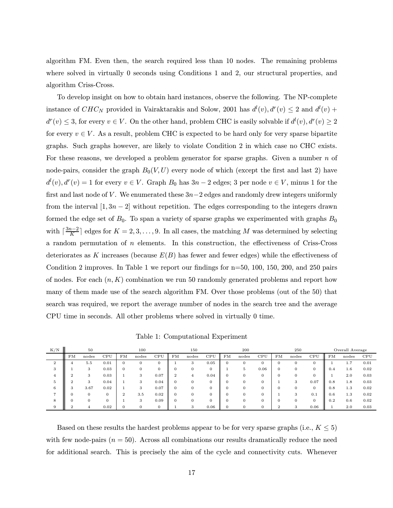algorithm FM. Even then, the search required less than 10 nodes. The remaining problems where solved in virtually 0 seconds using Conditions 1 and 2, our structural properties, and algorithm Criss-Cross.

To develop insight on how to obtain hard instances, observe the following. The NP-complete instance of  $CHC_N$  provided in Vairaktarakis and Solow, 2001 has  $d^l(v)$ ,  $d^r(v) \leq 2$  and  $d^l(v)$  +  $d^r(v) \leq 3$ , for every  $v \in V$ . On the other hand, problem CHC is easily solvable if  $d^l(v)$ ,  $d^r(v) \geq 2$ for every  $v \in V$ . As a result, problem CHC is expected to be hard only for very sparse bipartite graphs. Such graphs however, are likely to violate Condition 2 in which case no CHC exists. For these reasons, we developed a problem generator for sparse graphs. Given a number  $n$  of node-pairs, consider the graph  $B_0(V,U)$  every node of which (except the first and last 2) have  $d^l(v)$ ,  $d^r(v) = 1$  for every  $v \in V$ . Graph  $B_0$  has  $3n - 2$  edges; 3 per node  $v \in V$ , minus 1 for the first and last node of V. We enumerated these  $3n-2$  edges and randomly drew integers uniformly from the interval  $[1, 3n - 2]$  without repetition. The edges corresponding to the integers drawn formed the edge set of  $B_0$ . To span a variety of sparse graphs we experimented with graphs  $B_0$ with  $\lceil \frac{3n-2}{K} \rceil$  edges for  $K = 2, 3, \ldots, 9$ . In all cases, the matching M was determined by selecting a random permutation of  $n$  elements. In this construction, the effectiveness of Criss-Cross deteriorates as K increases (because  $E(B)$  has fewer and fewer edges) while the effectiveness of Condition 2 improves. In Table 1 we report our findings for n=50, 100, 150, 200, and 250 pairs of nodes. For each  $(n, K)$  combination we run 50 randomly generated problems and report how many of them made use of the search algorithm FM. Over those problems (out of the 50) that search was required, we report the average number of nodes in the search tree and the average CPU time in seconds. All other problems where solved in virtually 0 time.

Table 1: Computational Experiment

| K/N           | 50 |       |                | 100 |          |          | 150 |          |              | 200      |       |      | 250          |          |          | Overall Average |              |      |
|---------------|----|-------|----------------|-----|----------|----------|-----|----------|--------------|----------|-------|------|--------------|----------|----------|-----------------|--------------|------|
|               | FM | nodes | CPU            | FM  | nodes    | CPU      | FМ  | nodes    | CPU          | FM       | nodes | CPU  | FM           | nodes    | CPU      | FM              | nodes        | CPU  |
| $\Omega$<br>∼ |    | 5.5   | 0.01           |     | $\Omega$ | $\Omega$ |     | $\cdot$  | 0.05         | $\Omega$ | 0     | 0    | U            | $\theta$ | 0        |                 | -<br>$\pm$ . | 0.01 |
|               |    |       | 0.03           |     |          |          |     |          | $\mathbf{0}$ |          | 5.    | 0.06 | $\mathbf{0}$ |          | 0        | 0.4             | 1.6          | 0.02 |
|               |    | 3     | 0.03           |     |          | 0.07     |     |          | 0.04         |          | 0     |      |              |          | $\Omega$ |                 | 2.0          | 0.03 |
|               |    |       | 0.04           |     | 3        | 0.04     |     |          | $\Omega$     |          | 0     | 0    |              |          | 0.07     | 0.8             | 1.8          | 0.03 |
| 6             | G  | 3.67  | 0.02           |     | 3        | 0.07     |     |          | $\Omega$     |          | 0     | 0    |              |          | $\Omega$ | 0.8             | 1.3          | 0.02 |
|               |    |       | $\overline{0}$ |     | 3.5      | 0.02     |     |          | $\mathbf{0}$ |          | 0     | 0    |              | -5       | 0.1      | 0.6             | 1.3          | 0.02 |
| 8             |    |       | $\overline{0}$ |     |          | 0.09     |     |          | $\Omega$     |          |       | 0    |              |          | $\Omega$ | 0.2             | 0.6          | 0.02 |
|               |    |       | 0.02           |     |          |          |     | $\Omega$ | 0.06         |          |       | 0    |              |          | 0.06     |                 | 2.0          | 0.03 |

Based on these results the hardest problems appear to be for very sparse graphs (i.e.,  $K \leq 5$ ) with few node-pairs  $(n = 50)$ . Across all combinations our results dramatically reduce the need for additional search. This is precisely the aim of the cycle and connectivity cuts. Whenever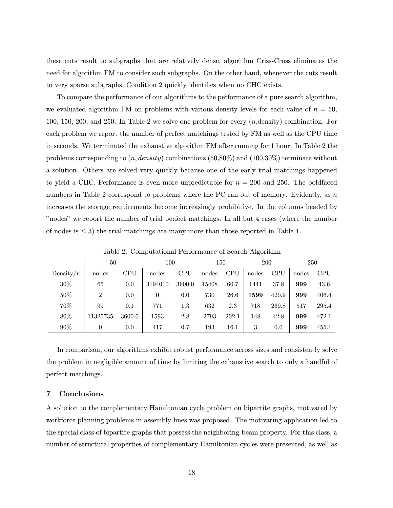these cuts result to subgraphs that are relatively dense, algorithm Criss-Cross eliminates the need for algorithm FM to consider such subgraphs. On the other hand, whenever the cuts result to very sparse subgraphs, Condition 2 quickly identifies when no CHC exists.

To compare the performance of our algorithms to the performance of a pure search algorithm, we evaluated algorithm FM on problems with various density levels for each value of  $n = 50$ , 100, 150, 200, and 250. In Table 2 we solve one problem for every  $(n,$  density) combination. For each problem we report the number of perfect matchings tested by FM as well as the CPU time in seconds. We terminated the exhaustive algorithm FM after running for 1 hour. In Table 2 the problems corresponding to  $(n, density)$  combinations (50,80%) and (100,30%) terminate without a solution. Others are solved very quickly because one of the early trial matchings happened to yield a CHC. Performance is even more unpredictable for  $n = 200$  and 250. The boldfaced numbers in Table 2 correspond to problems where the PC ran out of memory. Evidently, as  $n$ increases the storage requirements become increasingly prohibitive. In the columns headed by înodesî we report the number of trial perfect matchings. In all but 4 cases (where the number of nodes is  $\leq$  3) the trial matchings are many more than those reported in Table 1.

|              | 50       |            | 100     |            | 150   |            | 200   |            | 250   |            |
|--------------|----------|------------|---------|------------|-------|------------|-------|------------|-------|------------|
| Density/ $n$ | nodes    | <b>CPU</b> | nodes   | <b>CPU</b> | nodes | <b>CPU</b> | nodes | <b>CPU</b> | nodes | <b>CPU</b> |
| 30%          | 65       | 0.0        | 3194010 | 3600.0     | 15408 | 60.7       | 1441  | 37.8       | 999   | 43.6       |
| 50%          | 2        | 0.0        | 0       | 0.0        | 730   | 26.6       | 1599  | 420.9      | 999   | 406.4      |
| 70%          | 99       | 0.1        | 771     | 1.3        | 632   | 2.3        | 718   | 269.8      | 517   | 295.4      |
| 80%          | 11325735 | 3600.0     | 1593    | 2.8        | 2793  | 202.1      | 148   | 42.8       | 999   | 472.1      |
| 90%          | 0        | 0.0        | 417     | 0.7        | 193   | 16.1       | 3     | 0.0        | 999   | 455.1      |

Table 2: Computational Performance of Search Algorithm

In comparison, our algorithms exhibit robust performance across sizes and consistently solve the problem in negligible amount of time by limiting the exhaustive search to only a handful of perfect matchings.

# 7 Conclusions

A solution to the complementary Hamiltonian cycle problem on bipartite graphs, motivated by workforce planning problems in assembly lines was proposed. The motivating application led to the special class of bipartite graphs that possess the neighboring-beam property. For this class, a number of structural properties of complementary Hamiltonian cycles were presented, as well as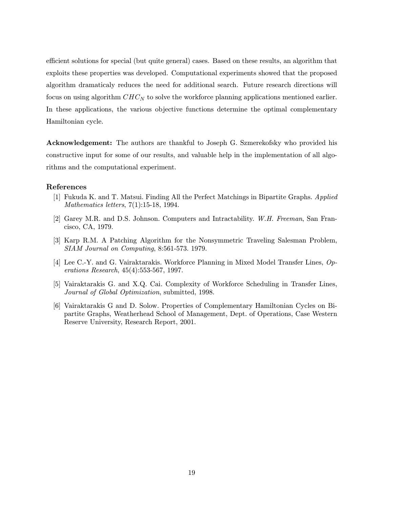efficient solutions for special (but quite general) cases. Based on these results, an algorithm that exploits these properties was developed. Computational experiments showed that the proposed algorithm dramaticaly reduces the need for additional search. Future research directions will focus on using algorithm  $CHC<sub>N</sub>$  to solve the workforce planning applications mentioned earlier. In these applications, the various objective functions determine the optimal complementary Hamiltonian cycle.

Acknowledgement: The authors are thankful to Joseph G. Szmerekofsky who provided his constructive input for some of our results, and valuable help in the implementation of all algorithms and the computational experiment.

# References

- [1] Fukuda K. and T. Matsui. Finding All the Perfect Matchings in Bipartite Graphs. Applied Mathematics letters, 7(1):15-18, 1994.
- [2] Garey M.R. and D.S. Johnson. Computers and Intractability. W.H. Freeman, San Francisco, CA, 1979.
- [3] Karp R.M. A Patching Algorithm for the Nonsymmetric Traveling Salesman Problem, SIAM Journal on Computing, 8:561-573. 1979.
- [4] Lee C.-Y. and G. Vairaktarakis. Workforce Planning in Mixed Model Transfer Lines, Operations Research, 45(4):553-567, 1997.
- [5] Vairaktarakis G. and X.Q. Cai. Complexity of Workforce Scheduling in Transfer Lines, Journal of Global Optimization, submitted, 1998.
- [6] Vairaktarakis G and D. Solow. Properties of Complementary Hamiltonian Cycles on Bipartite Graphs, Weatherhead School of Management, Dept. of Operations, Case Western Reserve University, Research Report, 2001.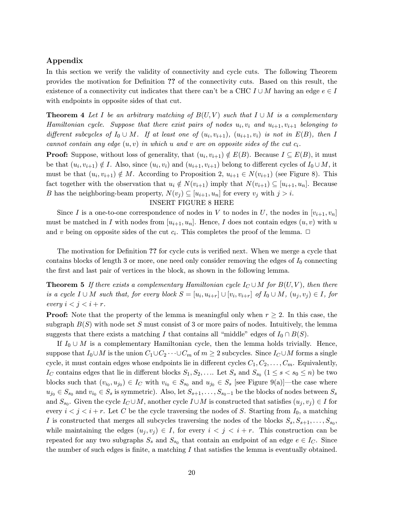# Appendix

In this section we verify the validity of connectivity and cycle cuts. The following Theorem provides the motivation for Definition ?? of the connectivity cuts. Based on this result, the existence of a connectivity cut indicates that there can't be a CHC  $I \cup M$  having an edge  $e \in I$ with endpoints in opposite sides of that cut.

**Theorem 4** Let I be an arbitrary matching of  $B(U, V)$  such that  $I \cup M$  is a complementary Hamiltonian cycle. Suppose that there exist pairs of nodes  $u_i, v_i$  and  $u_{i+1}, v_{i+1}$  belonging to different subcycles of  $I_0 \cup M$ . If at least one of  $(u_i, v_{i+1}), (u_{i+1}, v_i)$  is not in  $E(B)$ , then I cannot contain any edge  $(u, v)$  in which u and v are on opposite sides of the cut  $c_i$ .

**Proof:** Suppose, without loss of generality, that  $(u_i, v_{i+1}) \notin E(B)$ . Because  $I \subseteq E(B)$ , it must be that  $(u_i, v_{i+1}) \notin I$ . Also, since  $(u_i, v_i)$  and  $(u_{i+1}, v_{i+1})$  belong to different cycles of  $I_0 \cup M$ , it must be that  $(u_i, v_{i+1}) \notin M$ . According to Proposition 2,  $u_{i+1} \in N(v_{i+1})$  (see Figure 8). This fact together with the observation that  $u_i \notin N(v_{i+1})$  imply that  $N(v_{i+1}) \subseteq [u_{i+1}, u_n]$ . Because B has the neighboring-beam property,  $N(v_j) \subseteq [u_{i+1}, u_n]$  for every  $v_j$  with  $j > i$ .

# INSERT FIGURE 8 HERE

Since I is a one-to-one correspondence of nodes in V to nodes in U, the nodes in  $[v_{i+1}, v_n]$ must be matched in I with nodes from  $[u_{i+1}, u_n]$ . Hence, I does not contain edges  $(u, v)$  with u and v being on opposite sides of the cut  $c_i$ . This completes the proof of the lemma.  $\Box$ 

The motivation for Definition ?? for cycle cuts is verified next. When we merge a cycle that contains blocks of length 3 or more, one need only consider removing the edges of  $I_0$  connecting the first and last pair of vertices in the block, as shown in the following lemma.

**Theorem 5** If there exists a complementary Hamiltonian cycle  $I_C \cup M$  for  $B(U, V)$ , then there is a cycle  $I \cup M$  such that, for every block  $S = [u_i, u_{i+r}] \cup [v_i, v_{i+r}]$  of  $I_0 \cup M$ ,  $(u_j, v_j) \in I$ , for every  $i < j < i + r$ .

**Proof:** Note that the property of the lemma is meaningful only when  $r \geq 2$ . In this case, the subgraph  $B(S)$  with node set S must consist of 3 or more pairs of nodes. Intuitively, the lemma suggests that there exists a matching I that contains all "middle" edges of  $I_0 \cap B(S)$ .

If  $I_0 \cup M$  is a complementary Hamiltonian cycle, then the lemma holds trivially. Hence, suppose that  $I_0 \cup M$  is the union  $C_1 \cup C_2 \cdots \cup C_m$  of  $m \geq 2$  subcycles. Since  $I_C \cup M$  forms a single cycle, it must contain edges whose endpoints lie in different cycles  $C_1, C_2, \ldots, C_m$ . Equivalently, I<sub>C</sub> contains edges that lie in different blocks  $S_1, S_2, \ldots$  Let  $S_s$  and  $S_{s_0}$   $(1 \leq s < s_0 \leq n)$  be two blocks such that  $(v_{i_0}, u_{j_0}) \in I_C$  with  $v_{i_0} \in S_{s_0}$  and  $u_{j_0} \in S_s$  [see Figure 9(a)]—the case where  $u_{j_0} \in S_{s_0}$  and  $v_{i_0} \in S_s$  is symmetric). Also, let  $S_{s+1}, \ldots, S_{s_0-1}$  be the blocks of nodes between  $S_s$ and  $S_{s_0}$ . Given the cycle  $I_C \cup M$ , another cycle  $I \cup M$  is constructed that satisfies  $(u_j, v_j) \in I$  for every  $i < j < i + r$ . Let C be the cycle traversing the nodes of S. Starting from  $I_0$ , a matching I is constructed that merges all subcycles traversing the nodes of the blocks  $S_s, S_{s+1}, \ldots, S_{s_0}$ , while maintaining the edges  $(u_j, v_j) \in I$ , for every  $i < j < i + r$ . This construction can be repeated for any two subgraphs  $S_s$  and  $S_{s_0}$  that contain an endpoint of an edge  $e \in I_C$ . Since the number of such edges is finite, a matching  $I$  that satisfies the lemma is eventually obtained.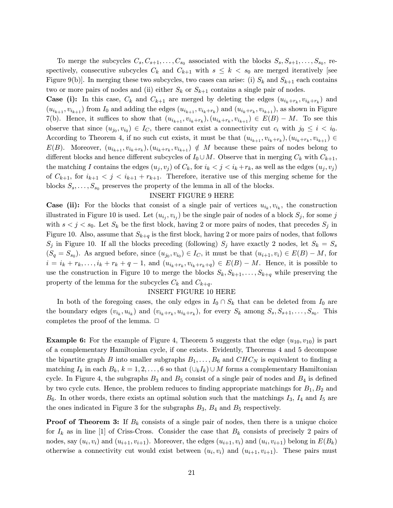To merge the subcycles  $C_s, C_{s+1}, \ldots, C_{s_0}$  associated with the blocks  $S_s, S_{s+1}, \ldots, S_{s_0}$ , respectively, consecutive subcycles  $C_k$  and  $C_{k+1}$  with  $s \leq k \lt s_0$  are merged iteratively [see Figure 9(b). In merging these two subcycles, two cases can arise: (i)  $S_k$  and  $S_{k+1}$  each contains two or more pairs of nodes and (ii) either  $S_k$  or  $S_{k+1}$  contains a single pair of nodes.

**Case (i):** In this case,  $C_k$  and  $C_{k+1}$  are merged by deleting the edges  $(u_{i_k+r_k}, v_{i_k+r_k})$  and  $(u_{i_{k+1}}, v_{i_{k+1}})$  from  $I_0$  and adding the edges  $(u_{i_{k+1}}, v_{i_k+r_k})$  and  $(u_{i_k+r_k}, v_{i_{k+1}})$ , as shown in Figure 7(b). Hence, it suffices to show that  $(u_{i_{k+1}}, v_{i_k+r_k}), (u_{i_k+r_k}, v_{i_{k+1}}) \in E(B) - M$ . To see this observe that since  $(u_{j_0}, v_{i_0}) \in I_C$ , there cannot exist a connectivity cut  $c_i$  with  $j_0 \leq i \leq i_0$ . According to Theorem 4, if no such cut exists, it must be that  $(u_{i_{k+1}}, v_{i_k+r_k}), (u_{i_k+r_k}, v_{i_{k+1}}) \in$  $E(B)$ . Moreover,  $(u_{i_{k+1}}, v_{i_k+r_k}), (u_{i_k+r_k}, v_{i_{k+1}}) \notin M$  because these pairs of nodes belong to different blocks and hence different subcycles of  $I_0 \cup M$ . Observe that in merging  $C_k$  with  $C_{k+1}$ , the matching I contains the edges  $(u_j, v_j)$  of  $C_k$ , for  $i_k < j < i_k + r_k$ , as well as the edges  $(u_j, v_j)$ of  $C_{k+1}$ , for  $i_{k+1} < j < i_{k+1} + r_{k+1}$ . Therefore, iterative use of this merging scheme for the blocks  $S_s, \ldots, S_{s_0}$  preserves the property of the lemma in all of the blocks.

#### INSERT FIGURE 9 HERE

**Case (ii):** For the blocks that consist of a single pair of vertices  $u_{i_k}, v_{i_k}$ , the construction illustrated in Figure 10 is used. Let  $(u_{i_j}, v_{i_j})$  be the single pair of nodes of a block  $S_j$ , for some j with  $s < j < s_0$ . Let  $S_k$  be the first block, having 2 or more pairs of nodes, that precedes  $S_j$  in Figure 10. Also, assume that  $S_{k+q}$  is the first block, having 2 or more pairs of nodes, that follows  $S_j$  in Figure 10. If all the blocks preceding (following)  $S_j$  have exactly 2 nodes, let  $S_k = S_s$  $(S_q = S_{s_0})$ . As argued before, since  $(u_{j_0}, v_{i_0}) \in I_C$ , it must be that  $(u_{i+1}, v_i) \in E(B) - M$ , for  $i = i_k + r_k, \ldots, i_k + r_k + q - 1$ , and  $(u_{i_k+r_k}, v_{i_k+r_k+q}) \in E(B) - M$ . Hence, it is possible to use the construction in Figure 10 to merge the blocks  $S_k, S_{k+1}, \ldots, S_{k+q}$  while preserving the property of the lemma for the subcycles  $C_k$  and  $C_{k+q}$ .

# INSERT FIGURE 10 HERE

In both of the foregoing cases, the only edges in  $I_0 \cap S_k$  that can be deleted from  $I_0$  are the boundary edges  $(v_{i_k}, u_{i_k})$  and  $(v_{i_k+r_k}, u_{i_k+r_k})$ , for every  $S_k$  among  $S_s, S_{s+1}, \ldots, S_{s_0}$ . This completes the proof of the lemma.  $\Box$ 

**Example 6:** For the example of Figure 4, Theorem 5 suggests that the edge  $(u_{10}, v_{10})$  is part of a complementary Hamiltonian cycle, if one exists. Evidently, Theorems 4 and 5 decompose the bipartite graph B into smaller subgraphs  $B_1, \ldots, B_6$  and  $CHC_N$  is equivalent to finding a matching  $I_k$  in each  $B_k$ ,  $k = 1, 2, \ldots, 6$  so that  $(\cup_k I_k) \cup M$  forms a complementary Hamiltonian cycle. In Figure 4, the subgraphs  $B_3$  and  $B_5$  consist of a single pair of nodes and  $B_4$  is defined by two cycle cuts. Hence, the problem reduces to finding appropriate matchings for  $B_1, B_2$  and  $B_6$ . In other words, there exists an optimal solution such that the matchings  $I_3$ ,  $I_4$  and  $I_5$  are the ones indicated in Figure 3 for the subgraphs  $B_3$ ,  $B_4$  and  $B_5$  respectively.

**Proof of Theorem 3:** If  $B_k$  consists of a single pair of nodes, then there is a unique choice for  $I_k$  as in line [1] of Criss-Cross. Consider the case that  $B_k$  consists of precisely 2 pairs of nodes, say  $(u_i, v_i)$  and  $(u_{i+1}, v_{i+1})$ . Moreover, the edges  $(u_{i+1}, v_i)$  and  $(u_i, v_{i+1})$  belong in  $E(B_k)$ otherwise a connectivity cut would exist between  $(u_i, v_i)$  and  $(u_{i+1}, v_{i+1})$ . These pairs must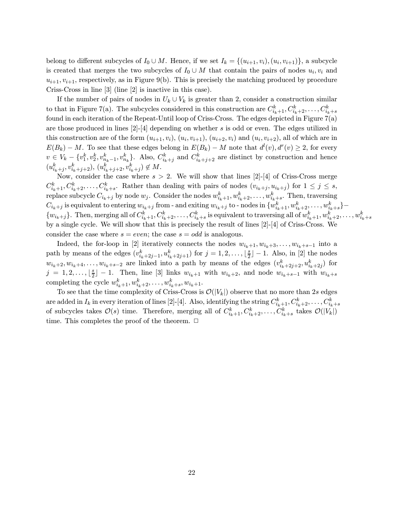belong to different subcycles of  $I_0 \cup M$ . Hence, if we set  $I_k = \{(u_{i+1}, v_i), (u_i, v_{i+1})\}$ , a subcycle is created that merges the two subcycles of  $I_0 \cup M$  that contain the pairs of nodes  $u_i, v_i$  and  $u_{i+1}, v_{i+1}$ , respectively, as in Figure 9(b). This is precisely the matching produced by procedure Criss-Cross in line [3] (line [2] is inactive in this case).

If the number of pairs of nodes in  $U_k \cup V_k$  is greater than 2, consider a construction similar to that in Figure 7(a). The subcycles considered in this construction are  $C_{i_k+1}^k, C_{i_k+2}^k, \ldots, C_{i_k+s}^k$ found in each iteration of the Repeat-Until loop of Criss-Cross. The edges depicted in Figure 7(a) are those produced in lines  $[2]-[4]$  depending on whether s is odd or even. The edges utilized in this construction are of the form  $(u_{i+1}, v_i)$ ,  $(u_i, v_{i+1})$ ,  $(u_{i+2}, v_i)$  and  $(u_i, v_{i+2})$ , all of which are in  $E(B_k) - M$ . To see that these edges belong in  $E(B_k) - M$  note that  $d^l(v)$ ,  $d^r(v) \geq 2$ , for every  $v \in V_k - \{v_1^k, v_2^k, v_{n_k-1}^k, v_{n_k}^k\}$ . Also,  $C_{i_k+j}^k$  and  $C_{i_k+j+2}^k$  are distinct by construction and hence  $(u_{i_k+j}^k, v_{i_k+j+2}^k), (u_{i_k+j+2}^k, v_{i_k+j}^k) \notin M.$ 

Now, consider the case where  $s > 2$ . We will show that lines [2]-[4] of Criss-Cross merge  $C_{i_k+1}^k, C_{i_k+2}^k, \ldots, C_{i_k+s}^k$ . Rather than dealing with pairs of nodes  $(v_{i_k+j}, u_{i_k+j})$  for  $1 \leq j \leq s$ , replace subcycle  $C_{i_k+j}$  by node  $w_j$ . Consider the nodes  $w_{i_k+1}^k, w_{i_k+2}^k, \ldots, w_{i_k+s}^k$ . Then, traversing  $C_{i_k+j}$  is equivalent to entering  $w_{i_k+j}$  from - and exiting  $w_{i_k+j}$  to - nodes in  $\{w_{i_k+1}^k,w_{i_k+2}^k,\ldots,w_{i_k+s}^k\}$  –  $\{w_{i_k+j}\}.$  Then, merging all of  $C^k_{i_k+1},C^k_{i_k+2},\ldots,C^k_{i_k+s}$  is equivalent to traversing all of  $w^k_{i_k+1},w^k_{i_k+2},\ldots,w^k_{i_k+s}$ by a single cycle. We will show that this is precisely the result of lines  $[2]-[4]$  of Criss-Cross. We consider the case where  $s = even$ ; the case  $s = odd$  is analogous.

Indeed, the for-loop in [2] iteratively connects the nodes  $w_{i_k+1}, w_{i_k+3}, \ldots, w_{i_k+s-1}$  into a path by means of the edges  $(v_{i_k+2j-1}^k, u_{i_k+2j+1}^k)$  for  $j = 1, 2, \ldots, \lfloor \frac{s}{2} \rfloor - 1$ . Also, in [2] the nodes  $w_{i_k+2}, w_{i_k+4}, \ldots, w_{i_k+s-2}$  are linked into a path by means of the edges  $(v_{i_k+2j+2}^k, u_{i_k+2j}^k)$  for  $j = 1, 2, \ldots, \lfloor \frac{s}{2} \rfloor - 1$ . Then, line [3] links  $w_{i_k+1}$  with  $w_{i_k+2}$ , and node  $w_{i_k+s-1}$  with  $w_{i_k+s}$ completing the cycle  $w_{i_k+1}^k, w_{i_k+2}^k, \ldots, w_{i_k+s}^k, w_{i_k+1}.$ 

To see that the time complexity of Criss-Cross is  $\mathcal{O}(|V_k|)$  observe that no more than 2s edges  $\alpha$  are added in  $I_k$  in every iteration of lines [2]-[4]. Also, identifying the string  $C^k_{i_k+1}, C^k_{i_k+2}, \ldots, C^k_{i_k+s}$ of subcycles takes  $\mathcal{O}(s)$  time. Therefore, merging all of  $C_{i_k+1}^k, C_{i_k+2}^k, \ldots, C_{i_k+s}^k$  takes  $\mathcal{O}(|V_k|)$ time. This completes the proof of the theorem.  $\Box$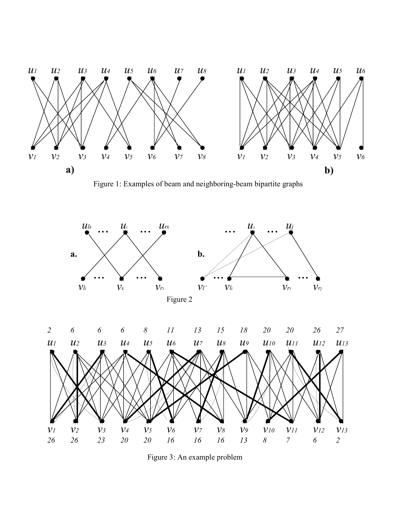

Figure 1: Examples of beam and neighboring-beam bipartite graphs



Figure 3: An example problem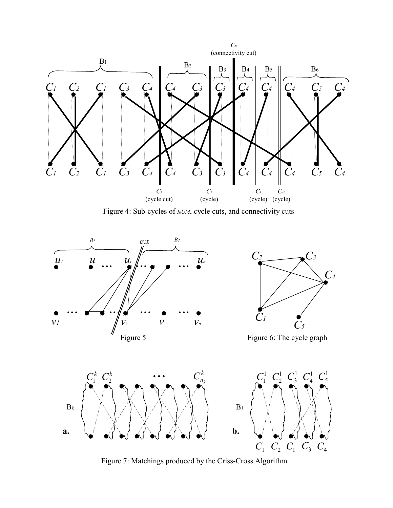

Figure 4: Sub-cycles of *I0UM*, cycle cuts, and connectivity cuts



Figure 7: Matchings produced by the Criss-Cross Algorithm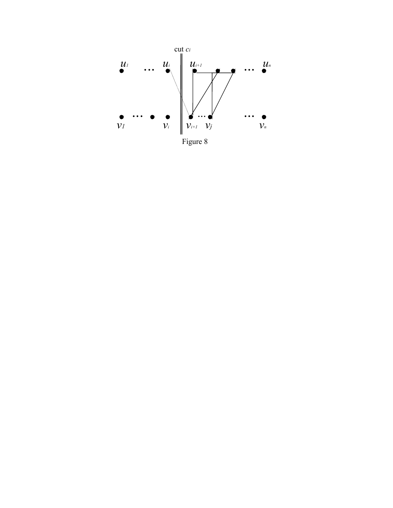